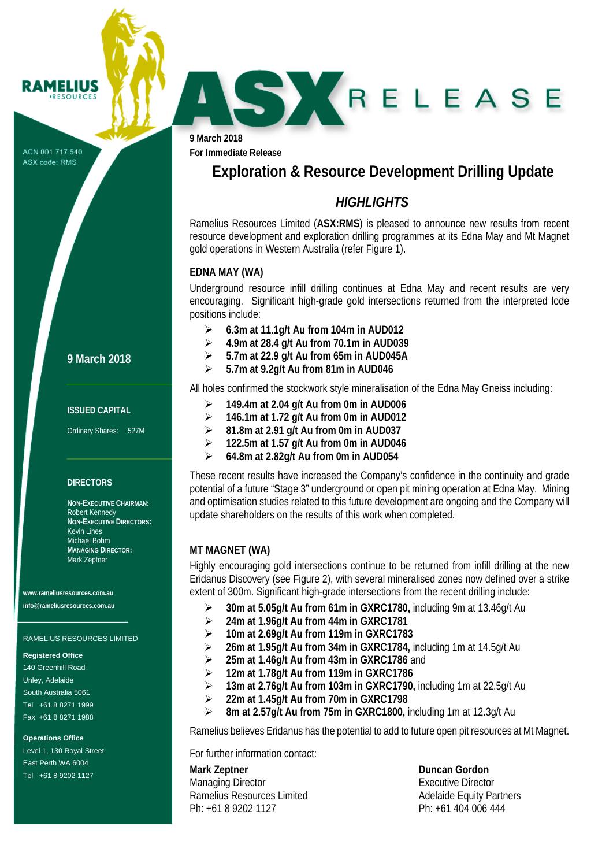ACN 001 717 540 ASX code: RMS

**RAMELIUS RESOURCES** 

**9 March 2018**

**For Immediate Release**

# **Exploration & Resource Development Drilling Update**

SKRELEASE

## *HIGHLIGHTS*

Ramelius Resources Limited (**ASX:RMS**) is pleased to announce new results from recent resource development and exploration drilling programmes at its Edna May and Mt Magnet gold operations in Western Australia (refer Figure 1).

## **EDNA MAY (WA)**

Underground resource infill drilling continues at Edna May and recent results are very encouraging. Significant high-grade gold intersections returned from the interpreted lode positions include:

- **6.3m at 11.1g/t Au from 104m in AUD012**
- **4.9m at 28.4 g/t Au from 70.1m in AUD039**
- **5.7m at 22.9 g/t Au from 65m in AUD045A**
- **5.7m at 9.2g/t Au from 81m in AUD046**

All holes confirmed the stockwork style mineralisation of the Edna May Gneiss including:

- **149.4m at 2.04 g/t Au from 0m in AUD006**
- **146.1m at 1.72 g/t Au from 0m in AUD012**
- **81.8m at 2.91 g/t Au from 0m in AUD037**
- **122.5m at 1.57 g/t Au from 0m in AUD046**
- **64.8m at 2.82g/t Au from 0m in AUD054**

These recent results have increased the Company's confidence in the continuity and grade potential of a future "Stage 3" underground or open pit mining operation at Edna May. Mining and optimisation studies related to this future development are ongoing and the Company will update shareholders on the results of this work when completed.

## **MT MAGNET (WA)**

Highly encouraging gold intersections continue to be returned from infill drilling at the new Eridanus Discovery (see Figure 2), with several mineralised zones now defined over a strike extent of 300m. Significant high-grade intersections from the recent drilling include:

- **30m at 5.05g/t Au from 61m in GXRC1780,** including 9m at 13.46g/t Au
- **24m at 1.96g/t Au from 44m in GXRC1781**
- **10m at 2.69g/t Au from 119m in GXRC1783**
- **26m at 1.95g/t Au from 34m in GXRC1784,** including 1m at 14.5g/t Au
- **25m at 1.46g/t Au from 43m in GXRC1786** and
- **12m at 1.78g/t Au from 119m in GXRC1786**
- **13m at 2.76g/t Au from 103m in GXRC1790,** including 1m at 22.5g/t Au
- **22m at 1.45g/t Au from 70m in GXRC1798**
- **8m at 2.57g/t Au from 75m in GXRC1800,** including 1m at 12.3g/t Au

Ramelius believes Eridanus has the potential to add to future open pit resources at Mt Magnet.

For further information contact:

**Mark Zeptner Duncan Gordon** Managing Director **Executive Director** Executive Director Ramelius Resources Limited<br>
Ph: +61 8 9202 1127<br>
Ph: +61 404 006 444 Ph: +61 8 9202 1127

### **9 March 2018**

#### **ISSUED CAPITAL**

Ordinary Shares: 527M

#### **DIRECTORS**

**NON-EXECUTIVE CHAIRMAN:** Robert Kennedy **NON-EXECUTIVE DIRECTORS:** Kevin Lines Michael Bohm **MANAGING DIRECTOR:** Mark Zeptner

**www.rameliusresources.com.au info@rameliusresources.com.au**

#### RAMELIUS RESOURCES LIMITED

#### **Registered Office**

140 Greenhill Road Unley, Adelaide South Australia 5061 Tel +61 8 8271 1999 Fax +61 8 8271 1988

#### **Operations Office**

Level 1, 130 Royal Street East Perth WA 6004 Tel +61 8 9202 1127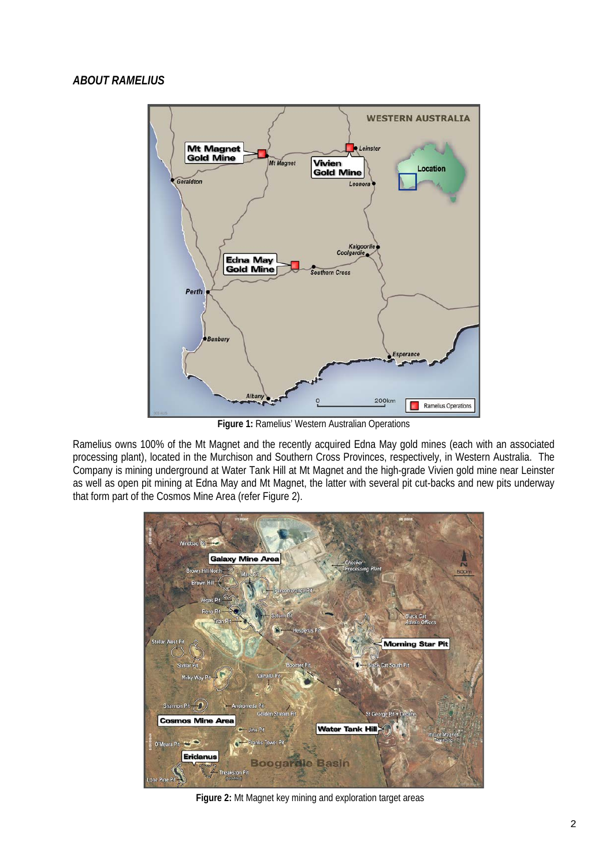

**Figure 1:** Ramelius' Western Australian Operations

Ramelius owns 100% of the Mt Magnet and the recently acquired Edna May gold mines (each with an associated processing plant), located in the Murchison and Southern Cross Provinces, respectively, in Western Australia. The Company is mining underground at Water Tank Hill at Mt Magnet and the high-grade Vivien gold mine near Leinster as well as open pit mining at Edna May and Mt Magnet, the latter with several pit cut-backs and new pits underway that form part of the Cosmos Mine Area (refer Figure 2).



**Figure 2:** Mt Magnet key mining and exploration target areas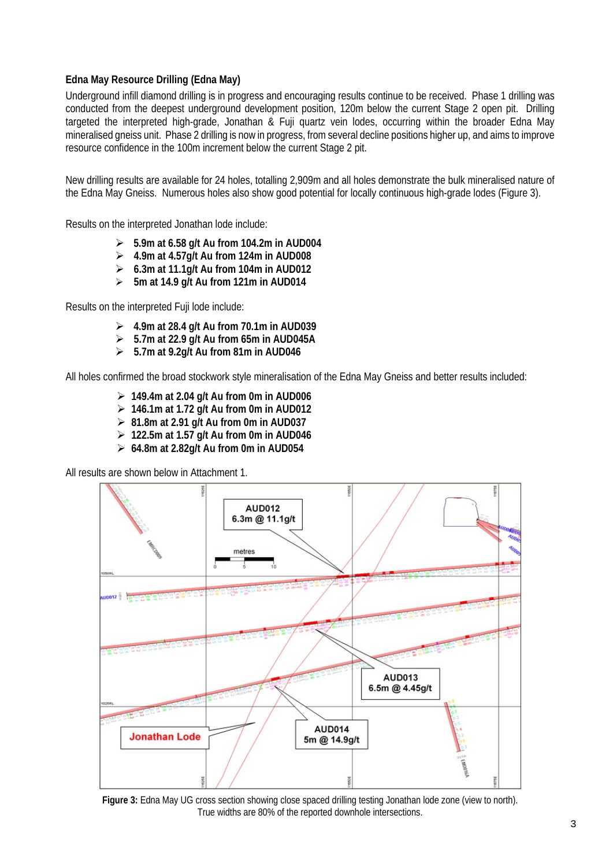## **Edna May Resource Drilling (Edna May)**

Underground infill diamond drilling is in progress and encouraging results continue to be received. Phase 1 drilling was conducted from the deepest underground development position, 120m below the current Stage 2 open pit. Drilling targeted the interpreted high-grade, Jonathan & Fuji quartz vein lodes, occurring within the broader Edna May mineralised gneiss unit. Phase 2 drilling is now in progress, from several decline positions higher up, and aims to improve resource confidence in the 100m increment below the current Stage 2 pit.

New drilling results are available for 24 holes, totalling 2,909m and all holes demonstrate the bulk mineralised nature of the Edna May Gneiss. Numerous holes also show good potential for locally continuous high-grade lodes (Figure 3).

Results on the interpreted Jonathan lode include:

- **5.9m at 6.58 g/t Au from 104.2m in AUD004**
- **4.9m at 4.57g/t Au from 124m in AUD008**
- **6.3m at 11.1g/t Au from 104m in AUD012**
- **5m at 14.9 g/t Au from 121m in AUD014**

Results on the interpreted Fuji lode include:

- **4.9m at 28.4 g/t Au from 70.1m in AUD039**
- **5.7m at 22.9 g/t Au from 65m in AUD045A**
- **5.7m at 9.2g/t Au from 81m in AUD046**

All holes confirmed the broad stockwork style mineralisation of the Edna May Gneiss and better results included:

- **149.4m at 2.04 g/t Au from 0m in AUD006**
- **146.1m at 1.72 g/t Au from 0m in AUD012**
- **81.8m at 2.91 g/t Au from 0m in AUD037**
- **122.5m at 1.57 g/t Au from 0m in AUD046**
- **64.8m at 2.82g/t Au from 0m in AUD054**

All results are shown below in Attachment 1.



**Figure 3:** Edna May UG cross section showing close spaced drilling testing Jonathan lode zone (view to north). True widths are 80% of the reported downhole intersections.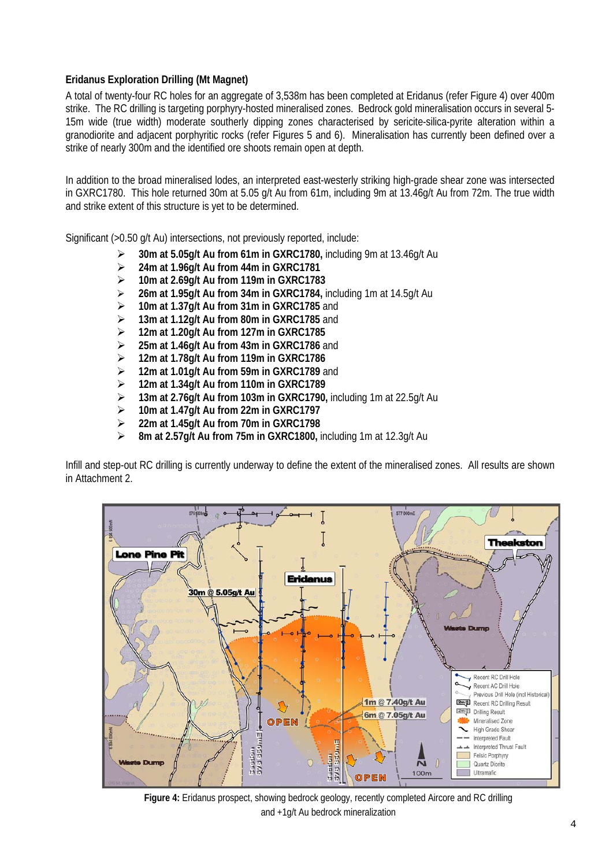## **Eridanus Exploration Drilling (Mt Magnet)**

A total of twenty-four RC holes for an aggregate of 3,538m has been completed at Eridanus (refer Figure 4) over 400m strike. The RC drilling is targeting porphyry-hosted mineralised zones. Bedrock gold mineralisation occurs in several 5- 15m wide (true width) moderate southerly dipping zones characterised by sericite-silica-pyrite alteration within a granodiorite and adjacent porphyritic rocks (refer Figures 5 and 6). Mineralisation has currently been defined over a strike of nearly 300m and the identified ore shoots remain open at depth.

In addition to the broad mineralised lodes, an interpreted east-westerly striking high-grade shear zone was intersected in GXRC1780. This hole returned 30m at 5.05 g/t Au from 61m, including 9m at 13.46g/t Au from 72m. The true width and strike extent of this structure is yet to be determined.

Significant (>0.50 g/t Au) intersections, not previously reported, include:

- **30m at 5.05g/t Au from 61m in GXRC1780,** including 9m at 13.46g/t Au
- **24m at 1.96g/t Au from 44m in GXRC1781**
- **10m at 2.69g/t Au from 119m in GXRC1783**
- **26m at 1.95g/t Au from 34m in GXRC1784,** including 1m at 14.5g/t Au
- **10m at 1.37g/t Au from 31m in GXRC1785** and
- **13m at 1.12g/t Au from 80m in GXRC1785** and
- **12m at 1.20g/t Au from 127m in GXRC1785**
- **25m at 1.46g/t Au from 43m in GXRC1786** and
- **12m at 1.78g/t Au from 119m in GXRC1786**
- **12m at 1.01g/t Au from 59m in GXRC1789** and
- **12m at 1.34g/t Au from 110m in GXRC1789**
- **13m at 2.76g/t Au from 103m in GXRC1790,** including 1m at 22.5g/t Au
- **10m at 1.47g/t Au from 22m in GXRC1797**
- **22m at 1.45g/t Au from 70m in GXRC1798**
- **8m at 2.57g/t Au from 75m in GXRC1800,** including 1m at 12.3g/t Au

Infill and step-out RC drilling is currently underway to define the extent of the mineralised zones. All results are shown in Attachment 2.



**Figure 4:** Eridanus prospect, showing bedrock geology, recently completed Aircore and RC drilling and +1g/t Au bedrock mineralization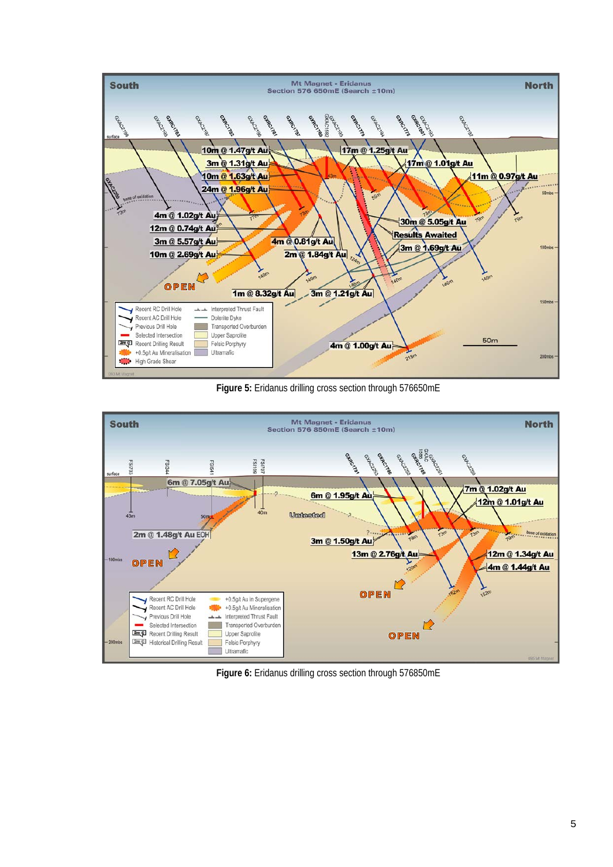

**Figure 5:** Eridanus drilling cross section through 576650mE



**Figure 6:** Eridanus drilling cross section through 576850mE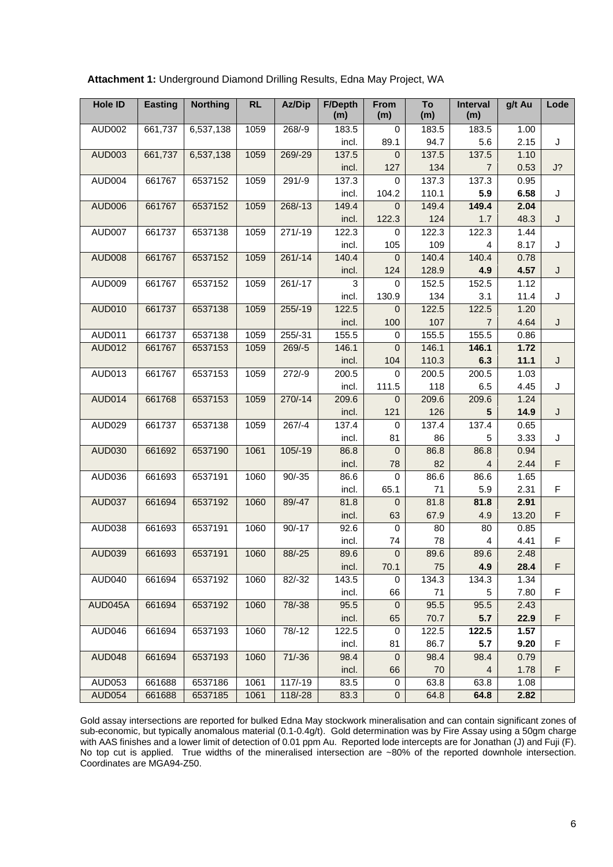| <b>Hole ID</b> | <b>Easting</b> | <b>Northing</b> | <b>RL</b> | Az/Dip    | <b>F/Depth</b><br>(m) | From<br>(m)      | To<br>(m) | Interval<br>(m) | g/t Au | Lode |
|----------------|----------------|-----------------|-----------|-----------|-----------------------|------------------|-----------|-----------------|--------|------|
| AUD002         | 661,737        | 6,537,138       | 1059      | $268/-9$  | 183.5                 | $\mathbf 0$      | 183.5     | 183.5           | 1.00   |      |
|                |                |                 |           |           | incl.                 | 89.1             | 94.7      | 5.6             | 2.15   | J    |
| <b>AUD003</b>  | 661,737        | 6,537,138       | 1059      | 269/-29   | 137.5                 | $\mathbf{0}$     | 137.5     | 137.5           | 1.10   |      |
|                |                |                 |           |           | incl.                 | 127              | 134       | $\overline{7}$  | 0.53   | J?   |
| AUD004         | 661767         | 6537152         | 1059      | $291/-9$  | 137.3                 | $\mathbf 0$      | 137.3     | 137.3           | 0.95   |      |
|                |                |                 |           |           | incl.                 | 104.2            | 110.1     | 5.9             | 6.58   | J    |
| <b>AUD006</b>  | 661767         | 6537152         | 1059      | 268/-13   | 149.4                 | 0                | 149.4     | 149.4           | 2.04   |      |
|                |                |                 |           |           | incl.                 | 122.3            | 124       | 1.7             | 48.3   | J    |
| AUD007         | 661737         | 6537138         | 1059      | $271/-19$ | 122.3                 | 0                | 122.3     | 122.3           | 1.44   |      |
|                |                |                 |           |           | incl.                 | 105              | 109       | 4               | 8.17   | J    |
| <b>AUD008</b>  | 661767         | 6537152         | 1059      | $261/-14$ | 140.4                 | $\boldsymbol{0}$ | 140.4     | 140.4           | 0.78   |      |
|                |                |                 |           |           | incl.                 | 124              | 128.9     | 4.9             | 4.57   | J    |
| AUD009         | 661767         | 6537152         | 1059      | $261/-17$ | 3                     | $\mathbf 0$      | 152.5     | 152.5           | 1.12   |      |
|                |                |                 |           |           | incl.                 | 130.9            | 134       | 3.1             | 11.4   | J    |
| <b>AUD010</b>  | 661737         | 6537138         | 1059      | $255/-19$ | 122.5                 | $\mathbf{0}$     | 122.5     | 122.5           | 1.20   |      |
|                |                |                 |           |           | incl.                 | 100              | 107       | 7               | 4.64   | J    |
| AUD011         | 661737         | 6537138         | 1059      | 255/-31   | 155.5                 | $\pmb{0}$        | 155.5     | 155.5           | 0.86   |      |
| <b>AUD012</b>  | 661767         | 6537153         | 1059      | $269/-5$  | 146.1                 | $\mathbf{0}$     | 146.1     | 146.1           | 1.72   |      |
|                |                |                 |           |           | incl.                 | 104              | 110.3     | 6.3             | 11.1   | J    |
| AUD013         | 661767         | 6537153         | 1059      | $272/-9$  | 200.5                 | $\mathbf 0$      | 200.5     | 200.5           | 1.03   |      |
|                |                |                 |           |           | incl.                 | 111.5            | 118       | 6.5             | 4.45   | J    |
| <b>AUD014</b>  | 661768         | 6537153         | 1059      | $270/-14$ | 209.6                 | $\mathbf 0$      | 209.6     | 209.6           | 1.24   |      |
|                |                |                 |           |           | incl.                 | 121              | 126       | 5               | 14.9   | J    |
| <b>AUD029</b>  | 661737         | 6537138         | 1059      | $267/-4$  | 137.4                 | 0                | 137.4     | 137.4           | 0.65   |      |
|                |                |                 |           |           | incl.                 | 81               | 86        | 5               | 3.33   | J    |
| <b>AUD030</b>  | 661692         | 6537190         | 1061      | 105/-19   | 86.8                  | $\boldsymbol{0}$ | 86.8      | 86.8            | 0.94   |      |
|                |                |                 |           |           | incl.                 | 78               | 82        | 4               | 2.44   | F    |
| AUD036         | 661693         | 6537191         | 1060      | $90/-35$  | 86.6                  | $\mathbf 0$      | 86.6      | 86.6            | 1.65   |      |
|                |                |                 |           |           | incl.                 | 65.1             | 71        | 5.9             | 2.31   | F    |
| <b>AUD037</b>  | 661694         | 6537192         | 1060      | 89/-47    | 81.8                  | $\mathbf 0$      | 81.8      | 81.8            | 2.91   |      |
|                |                |                 |           |           | incl.                 | 63               | 67.9      | 4.9             | 13.20  | F    |
| AUD038         | 661693         | 6537191         | 1060      | $90/-17$  | 92.6                  | $\pmb{0}$        | 80        | 80              | 0.85   |      |
|                |                |                 |           |           | incl.                 | 74               | 78        | 4               | 4.41   | F    |
| <b>AUD039</b>  | 661693         | 6537191         | 1060      | $88/-25$  | 89.6                  | $\pmb{0}$        | 89.6      | 89.6            | 2.48   |      |
|                |                |                 |           |           | incl.                 | 70.1             | 75        | 4.9             | 28.4   | F    |
| AUD040         | 661694         | 6537192         | 1060      | $82/-32$  | 143.5                 | 0                | 134.3     | 134.3           | 1.34   |      |
|                |                |                 |           |           | incl.                 | 66               | 71        | 5               | 7.80   | F    |
| AUD045A        | 661694         | 6537192         | 1060      | 78/-38    | 95.5                  | $\boldsymbol{0}$ | 95.5      | 95.5            | 2.43   |      |
|                |                |                 |           |           | incl.                 | 65               | 70.7      | 5.7             | 22.9   | F    |
| AUD046         | 661694         | 6537193         | 1060      | $78/-12$  | 122.5                 | 0                | 122.5     | 122.5           | 1.57   |      |
|                |                |                 |           |           | incl.                 | 81               | 86.7      | 5.7             | 9.20   | F    |
| <b>AUD048</b>  | 661694         | 6537193         | 1060      | $71/-36$  | 98.4                  | $\mathbf 0$      | 98.4      | 98.4            | 0.79   |      |
|                |                |                 |           |           | incl.                 | 66               | 70        | 4               | 1.78   | F    |
| <b>AUD053</b>  | 661688         | 6537186         | 1061      | $117/-19$ | 83.5                  | 0                | 63.8      | 63.8            | 1.08   |      |
| <b>AUD054</b>  | 661688         | 6537185         | 1061      | 118/-28   | 83.3                  | $\pmb{0}$        | 64.8      | 64.8            | 2.82   |      |

**Attachment 1:** Underground Diamond Drilling Results, Edna May Project, WA

Gold assay intersections are reported for bulked Edna May stockwork mineralisation and can contain significant zones of sub-economic, but typically anomalous material (0.1-0.4g/t). Gold determination was by Fire Assay using a 50gm charge with AAS finishes and a lower limit of detection of 0.01 ppm Au. Reported lode intercepts are for Jonathan (J) and Fuji (F). No top cut is applied. True widths of the mineralised intersection are ~80% of the reported downhole intersection. Coordinates are MGA94-Z50.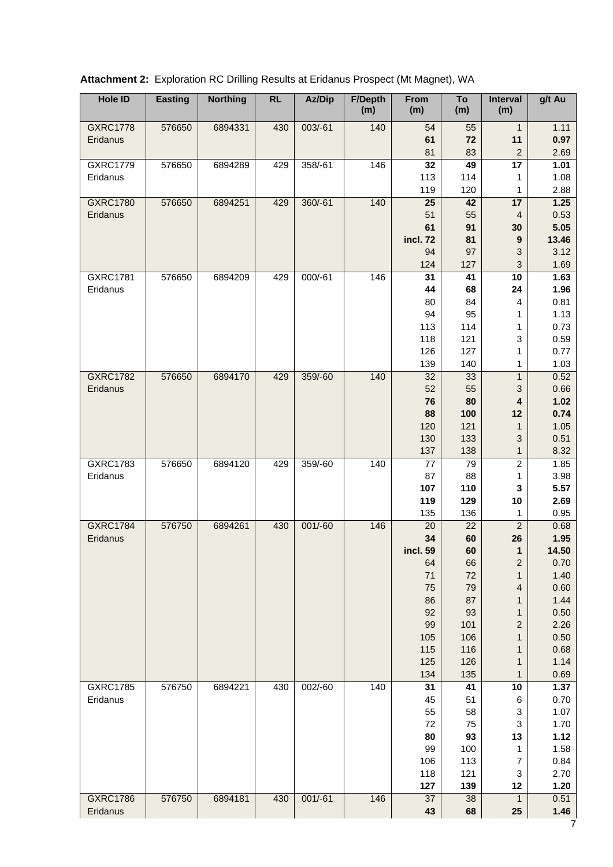| <b>Hole ID</b>              | <b>Easting</b> | <b>Northing</b> | RL  | Az/Dip    | <b>F/Depth</b><br>(m) | From<br>(m)     | To<br>(m) | <b>Interval</b><br>(m)         | g/t Au        |
|-----------------------------|----------------|-----------------|-----|-----------|-----------------------|-----------------|-----------|--------------------------------|---------------|
| <b>GXRC1778</b>             | 576650         | 6894331         | 430 | $003/-61$ | 140                   | 54              | 55        | $\mathbf{1}$                   | 1.11          |
| Eridanus                    |                |                 |     |           |                       | 61              | 72        | 11                             | 0.97          |
|                             |                |                 |     |           |                       | 81              | 83        | $\boldsymbol{2}$               | 2.69          |
| <b>GXRC1779</b>             | 576650         | 6894289         | 429 | 358/-61   | 146                   | $\overline{32}$ | 49        | $\overline{17}$                | 1.01          |
| Eridanus                    |                |                 |     |           |                       | 113             | 114       | 1                              | 1.08          |
|                             |                |                 |     |           |                       | 119             | 120       | 1                              | 2.88          |
| <b>GXRC1780</b>             | 576650         | 6894251         | 429 | 360/-61   | 140                   | 25              | 42        | 17                             | 1.25          |
| Eridanus                    |                |                 |     |           |                       | 51              | 55        | $\overline{4}$                 | 0.53          |
|                             |                |                 |     |           |                       | 61              | 91        | 30                             | 5.05          |
|                             |                |                 |     |           |                       | incl. 72<br>94  | 81<br>97  | 9                              | 13.46<br>3.12 |
|                             |                |                 |     |           |                       | 124             | 127       | 3<br>$\ensuremath{\mathsf{3}}$ | 1.69          |
| <b>GXRC1781</b>             | 576650         | 6894209         | 429 | 000/-61   | 146                   | 31              | 41        | 10                             | 1.63          |
| Eridanus                    |                |                 |     |           |                       | 44              | 68        | 24                             | 1.96          |
|                             |                |                 |     |           |                       | 80              | 84        | 4                              | 0.81          |
|                             |                |                 |     |           |                       | 94              | 95        | 1                              | 1.13          |
|                             |                |                 |     |           |                       | 113             | 114       | 1                              | 0.73          |
|                             |                |                 |     |           |                       | 118             | 121       | $\ensuremath{\mathsf{3}}$      | 0.59          |
|                             |                |                 |     |           |                       | 126             | 127       | 1                              | 0.77          |
|                             |                |                 |     |           |                       | 139             | 140       | 1                              | 1.03          |
| <b>GXRC1782</b>             | 576650         | 6894170         | 429 | 359/-60   | 140                   | 32              | 33        | $\mathbf{1}$                   | 0.52          |
| Eridanus                    |                |                 |     |           |                       | 52              | 55        | 3                              | 0.66          |
|                             |                |                 |     |           |                       | 76              | 80        | 4                              | 1.02          |
|                             |                |                 |     |           |                       | 88              | 100       | 12                             | 0.74          |
|                             |                |                 |     |           |                       | 120             | 121       | 1                              | 1.05          |
|                             |                |                 |     |           |                       | 130             | 133       | 3                              | 0.51          |
|                             |                |                 |     |           |                       | 137             | 138       | 1                              | 8.32          |
| <b>GXRC1783</b>             | 576650         | 6894120         | 429 | 359/-60   | 140                   | $77$            | 79        | $\overline{2}$                 | 1.85          |
| Eridanus                    |                |                 |     |           |                       | 87              | 88        | 1                              | 3.98          |
|                             |                |                 |     |           |                       | 107             | 110       | 3                              | 5.57          |
|                             |                |                 |     |           |                       | 119             | 129       | 10                             | 2.69          |
|                             |                |                 |     |           |                       | 135             | 136       | 1                              | 0.95          |
| <b>GXRC1784</b><br>Eridanus | 576750         | 6894261         | 430 | $001/-60$ | 146                   | 20<br>34        | 22<br>60  | $\overline{c}$<br>26           | 0.68<br>1.95  |
|                             |                |                 |     |           |                       | incl. 59        | 60        | 1                              | 14.50         |
|                             |                |                 |     |           |                       | 64              | 66        | $\boldsymbol{2}$               | 0.70          |
|                             |                |                 |     |           |                       | 71              | 72        | 1                              | 1.40          |
|                             |                |                 |     |           |                       | 75              | 79        | 4                              | 0.60          |
|                             |                |                 |     |           |                       | 86              | 87        | 1                              | 1.44          |
|                             |                |                 |     |           |                       | 92              | 93        | 1                              | 0.50          |
|                             |                |                 |     |           |                       | 99              | 101       | 2                              | 2.26          |
|                             |                |                 |     |           |                       | 105             | 106       | 1                              | 0.50          |
|                             |                |                 |     |           |                       | 115             | 116       | 1                              | 0.68          |
|                             |                |                 |     |           |                       | 125             | 126       | 1                              | 1.14          |
|                             |                |                 |     |           |                       | 134             | 135       | 1                              | 0.69          |
| <b>GXRC1785</b>             | 576750         | 6894221         | 430 | 002/-60   | $\overline{1}40$      | 31              | 41        | 10                             | 1.37          |
| Eridanus                    |                |                 |     |           |                       | 45              | 51        | 6                              | 0.70          |
|                             |                |                 |     |           |                       | 55              | 58        | 3                              | 1.07          |
|                             |                |                 |     |           |                       | 72              | 75        | 3                              | 1.70          |
|                             |                |                 |     |           |                       | 80              | 93        | 13                             | 1.12          |
|                             |                |                 |     |           |                       | 99              | 100       | 1                              | 1.58          |
|                             |                |                 |     |           |                       | 106             | 113       | 7                              | 0.84          |
|                             |                |                 |     |           |                       | 118             | 121       | 3                              | 2.70          |
|                             |                |                 |     |           |                       | 127             | 139       | 12                             | 1.20          |
| <b>GXRC1786</b><br>Eridanus | 576750         | 6894181         | 430 | $001/-61$ | 146                   | 37<br>43        | 38<br>68  | $\mathbf{1}$<br>25             | 0.51<br>1.46  |

|  |  | <b>Attachment 2: Exploration RC Drilling Results at Eridanus Prospect (Mt Magnet), WA</b> |  |  |  |
|--|--|-------------------------------------------------------------------------------------------|--|--|--|
|--|--|-------------------------------------------------------------------------------------------|--|--|--|

 $\frac{1}{7}$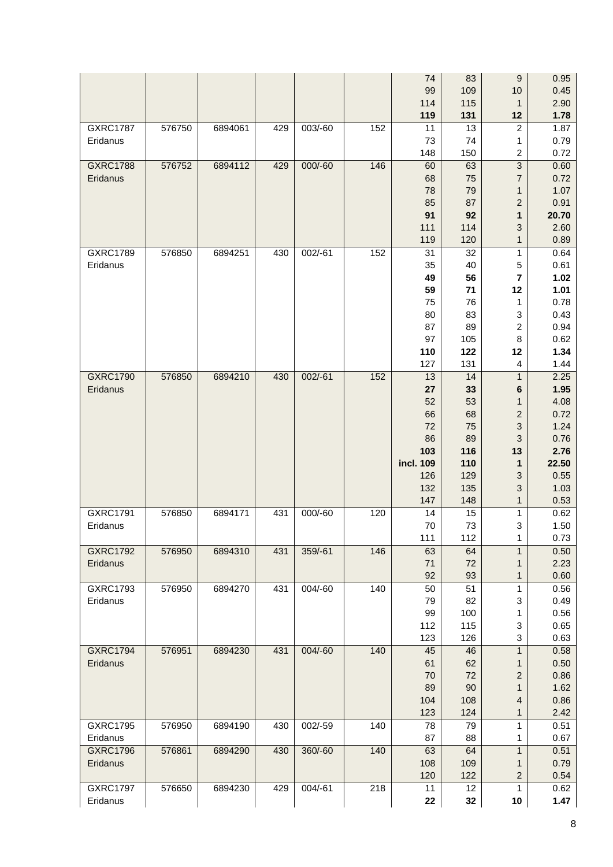|                 |        |         |     |           |     | 74         | 83         | $\boldsymbol{9}$               | 0.95         |
|-----------------|--------|---------|-----|-----------|-----|------------|------------|--------------------------------|--------------|
|                 |        |         |     |           |     | 99         | 109        | 10                             | 0.45         |
|                 |        |         |     |           |     | 114        | 115        | $\mathbf{1}$                   | 2.90         |
|                 |        |         |     |           |     | 119        | 131        | 12                             | 1.78         |
| <b>GXRC1787</b> | 576750 | 6894061 | 429 | 003/-60   | 152 | 11         | 13         | $\boldsymbol{2}$               | 1.87         |
| Eridanus        |        |         |     |           |     | 73<br>148  | 74<br>150  | 1<br>$\overline{c}$            | 0.79<br>0.72 |
| <b>GXRC1788</b> | 576752 | 6894112 | 429 | 000/-60   | 146 | 60         | 63         | $\overline{3}$                 | 0.60         |
| Eridanus        |        |         |     |           |     | 68         | 75         | $\overline{7}$                 | 0.72         |
|                 |        |         |     |           |     | 78         | 79         | $\mathbf{1}$                   | 1.07         |
|                 |        |         |     |           |     | 85         | 87         | $\overline{c}$                 | 0.91         |
|                 |        |         |     |           |     | 91         | 92         | 1                              | 20.70        |
|                 |        |         |     |           |     | 111        | 114        | 3                              | 2.60         |
|                 |        |         |     |           |     | 119        | 120        | $\mathbf{1}$                   | 0.89         |
| <b>GXRC1789</b> | 576850 | 6894251 | 430 | $002/-61$ | 152 | 31         | 32         | $\mathbf{1}$                   | 0.64         |
| Eridanus        |        |         |     |           |     | 35         | 40         | 5                              | 0.61         |
|                 |        |         |     |           |     | 49         | 56         | $\overline{\mathbf{7}}$        | 1.02         |
|                 |        |         |     |           |     | 59         | 71         | 12                             | 1.01         |
|                 |        |         |     |           |     | 75         | 76         | 1                              | 0.78         |
|                 |        |         |     |           |     | 80         | 83         | 3                              | 0.43         |
|                 |        |         |     |           |     | 87         | 89         | $\boldsymbol{2}$               | 0.94         |
|                 |        |         |     |           |     | 97         | 105        | 8                              | 0.62         |
|                 |        |         |     |           |     | 110<br>127 | 122<br>131 | 12<br>4                        | 1.34<br>1.44 |
| <b>GXRC1790</b> | 576850 | 6894210 | 430 | $002/-61$ | 152 | 13         | 14         | $\mathbf{1}$                   | 2.25         |
| Eridanus        |        |         |     |           |     | 27         | 33         | $\bf 6$                        | 1.95         |
|                 |        |         |     |           |     | 52         | 53         | $\mathbf{1}$                   | 4.08         |
|                 |        |         |     |           |     | 66         | 68         | $\overline{c}$                 | 0.72         |
|                 |        |         |     |           |     | 72         | 75         | 3                              | 1.24         |
|                 |        |         |     |           |     |            |            |                                |              |
|                 |        |         |     |           |     | 86         | 89         | 3                              | 0.76         |
|                 |        |         |     |           |     | 103        | 116        | 13                             | 2.76         |
|                 |        |         |     |           |     | incl. 109  | 110        | 1                              | 22.50        |
|                 |        |         |     |           |     | 126        | 129        | 3                              | 0.55         |
|                 |        |         |     |           |     | 132        | 135        | 3                              | 1.03         |
|                 |        |         |     |           |     | 147        | 148        | $\mathbf{1}$                   | 0.53         |
| GXRC1791        | 576850 | 6894171 | 431 | 000/-60   | 120 | 14         | 15         | 1                              | 0.62         |
| Eridanus        |        |         |     |           |     | 70         | 73         | $\ensuremath{\mathsf{3}}$      | 1.50         |
|                 |        |         |     |           |     | 111        | 112        | 1                              | 0.73         |
| <b>GXRC1792</b> | 576950 | 6894310 | 431 | 359/-61   | 146 | 63         | 64         | $\mathbf{1}$                   | 0.50         |
| Eridanus        |        |         |     |           |     | 71         | 72         | 1                              | 2.23         |
|                 |        |         |     |           |     | 92         | 93         | 1                              | 0.60         |
| GXRC1793        | 576950 | 6894270 | 431 | 004/-60   | 140 | 50         | 51         | 1                              | 0.56         |
| Eridanus        |        |         |     |           |     | 79         | 82         | 3                              | 0.49         |
|                 |        |         |     |           |     | 99         | 100        | 1                              | 0.56         |
|                 |        |         |     |           |     | 112<br>123 | 115<br>126 | 3<br>$\ensuremath{\mathsf{3}}$ | 0.65<br>0.63 |
| <b>GXRC1794</b> | 576951 | 6894230 | 431 | 004/-60   | 140 | 45         | 46         | $\mathbf{1}$                   | 0.58         |
| Eridanus        |        |         |     |           |     | 61         | 62         | 1                              | 0.50         |
|                 |        |         |     |           |     | 70         | 72         | $\overline{c}$                 | 0.86         |
|                 |        |         |     |           |     | 89         | 90         | $\mathbf{1}$                   | 1.62         |
|                 |        |         |     |           |     | 104        | 108        | 4                              | 0.86         |
|                 |        |         |     |           |     | 123        | 124        | 1                              | 2.42         |
| <b>GXRC1795</b> | 576950 | 6894190 | 430 | 002/-59   | 140 | 78         | 79         | 1                              | 0.51         |
| Eridanus        |        |         |     |           |     | 87         | 88         | 1                              | 0.67         |
| <b>GXRC1796</b> | 576861 | 6894290 | 430 | 360/-60   | 140 | 63         | 64         | $\mathbf{1}$                   | 0.51         |
| Eridanus        |        |         |     |           |     | 108        | 109        | 1                              | 0.79         |
| <b>GXRC1797</b> | 576650 | 6894230 | 429 | $004/-61$ | 218 | 120<br>11  | 122<br>12  | $\boldsymbol{2}$<br>1          | 0.54<br>0.62 |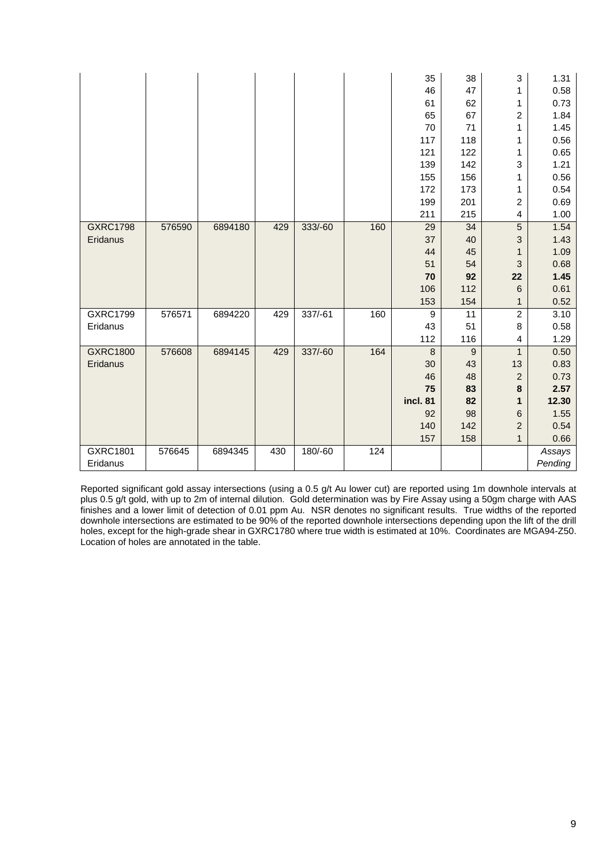|                 |        |         |     |           |     | 35               | 38             | 3                       | 1.31    |
|-----------------|--------|---------|-----|-----------|-----|------------------|----------------|-------------------------|---------|
|                 |        |         |     |           |     | 46               | 47             | 1                       | 0.58    |
|                 |        |         |     |           |     | 61               | 62             | 1                       | 0.73    |
|                 |        |         |     |           |     | 65               | 67             | $\boldsymbol{2}$        | 1.84    |
|                 |        |         |     |           |     | 70               | 71             | 1                       | 1.45    |
|                 |        |         |     |           |     | 117              | 118            | 1                       | 0.56    |
|                 |        |         |     |           |     | 121              | 122            | 1                       | 0.65    |
|                 |        |         |     |           |     | 139              | 142            | 3                       | 1.21    |
|                 |        |         |     |           |     | 155              | 156            | 1                       | 0.56    |
|                 |        |         |     |           |     | 172              | 173            | 1                       | 0.54    |
|                 |        |         |     |           |     | 199              | 201            | $\overline{c}$          | 0.69    |
|                 |        |         |     |           |     | 211              | 215            | $\overline{\mathbf{4}}$ | 1.00    |
| <b>GXRC1798</b> | 576590 | 6894180 | 429 | 333/-60   | 160 | 29               | 34             | $\overline{5}$          | 1.54    |
| Eridanus        |        |         |     |           |     | 37               | 40             | 3                       | 1.43    |
|                 |        |         |     |           |     | 44               | 45             | 1                       | 1.09    |
|                 |        |         |     |           |     | 51               | 54             | 3                       | 0.68    |
|                 |        |         |     |           |     | 70               | 92             | 22                      | 1.45    |
|                 |        |         |     |           |     | 106              | 112            | 6                       | 0.61    |
|                 |        |         |     |           |     | 153              | 154            | $\mathbf{1}$            | 0.52    |
| <b>GXRC1799</b> | 576571 | 6894220 | 429 | $337/-61$ | 160 | 9                | 11             | $\overline{2}$          | 3.10    |
| Eridanus        |        |         |     |           |     | 43               | 51             | 8                       | 0.58    |
|                 |        |         |     |           |     | 112              | 116            | 4                       | 1.29    |
| <b>GXRC1800</b> | 576608 | 6894145 | 429 | 337/-60   | 164 | $\boldsymbol{8}$ | $\overline{9}$ | $\mathbf{1}$            | 0.50    |
| Eridanus        |        |         |     |           |     | 30               | 43             | 13                      | 0.83    |
|                 |        |         |     |           |     | 46               | 48             | $\overline{\mathbf{c}}$ | 0.73    |
|                 |        |         |     |           |     | 75               | 83             | $\bf8$                  | 2.57    |
|                 |        |         |     |           |     | incl. 81         | 82             | 1                       | 12.30   |
|                 |        |         |     |           |     | 92               | 98             | 6                       | 1.55    |
|                 |        |         |     |           |     | 140              | 142            | $\overline{c}$          | 0.54    |
|                 |        |         |     |           |     | 157              | 158            | $\mathbf{1}$            | 0.66    |
| <b>GXRC1801</b> | 576645 | 6894345 | 430 | 180/-60   | 124 |                  |                |                         | Assays  |
| Eridanus        |        |         |     |           |     |                  |                |                         | Pending |

Reported significant gold assay intersections (using a 0.5 g/t Au lower cut) are reported using 1m downhole intervals at plus 0.5 g/t gold, with up to 2m of internal dilution. Gold determination was by Fire Assay using a 50gm charge with AAS finishes and a lower limit of detection of 0.01 ppm Au. NSR denotes no significant results. True widths of the reported downhole intersections are estimated to be 90% of the reported downhole intersections depending upon the lift of the drill holes, except for the high-grade shear in GXRC1780 where true width is estimated at 10%. Coordinates are MGA94-Z50. Location of holes are annotated in the table.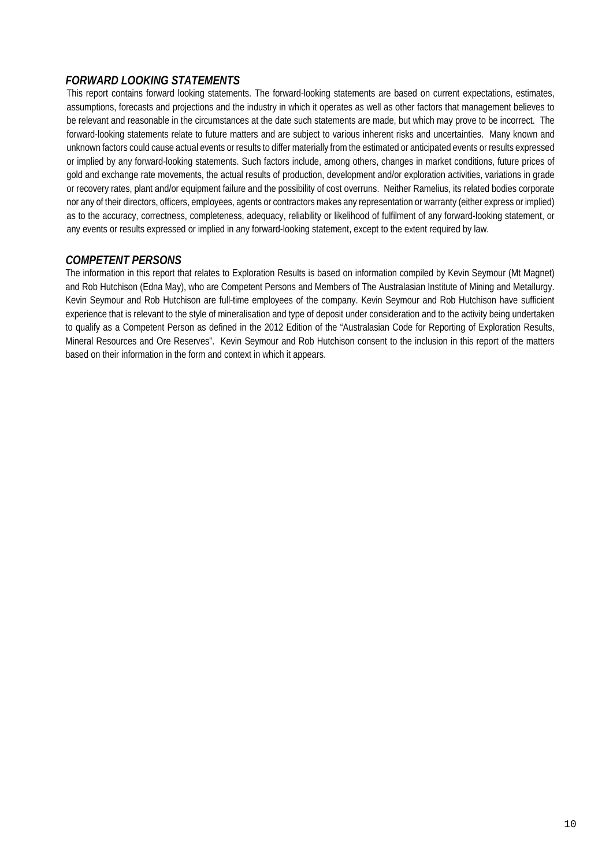## *FORWARD LOOKING STATEMENTS*

This report contains forward looking statements. The forward-looking statements are based on current expectations, estimates, assumptions, forecasts and projections and the industry in which it operates as well as other factors that management believes to be relevant and reasonable in the circumstances at the date such statements are made, but which may prove to be incorrect. The forward-looking statements relate to future matters and are subject to various inherent risks and uncertainties. Many known and unknown factors could cause actual events or results to differ materially from the estimated or anticipated events or results expressed or implied by any forward-looking statements. Such factors include, among others, changes in market conditions, future prices of gold and exchange rate movements, the actual results of production, development and/or exploration activities, variations in grade or recovery rates, plant and/or equipment failure and the possibility of cost overruns. Neither Ramelius, its related bodies corporate nor any of their directors, officers, employees, agents or contractors makes any representation or warranty (either express or implied) as to the accuracy, correctness, completeness, adequacy, reliability or likelihood of fulfilment of any forward-looking statement, or any events or results expressed or implied in any forward-looking statement, except to the extent required by law.

## *COMPETENT PERSONS*

The information in this report that relates to Exploration Results is based on information compiled by Kevin Seymour (Mt Magnet) and Rob Hutchison (Edna May), who are Competent Persons and Members of The Australasian Institute of Mining and Metallurgy. Kevin Seymour and Rob Hutchison are full-time employees of the company. Kevin Seymour and Rob Hutchison have sufficient experience that is relevant to the style of mineralisation and type of deposit under consideration and to the activity being undertaken to qualify as a Competent Person as defined in the 2012 Edition of the "Australasian Code for Reporting of Exploration Results, Mineral Resources and Ore Reserves". Kevin Seymour and Rob Hutchison consent to the inclusion in this report of the matters based on their information in the form and context in which it appears.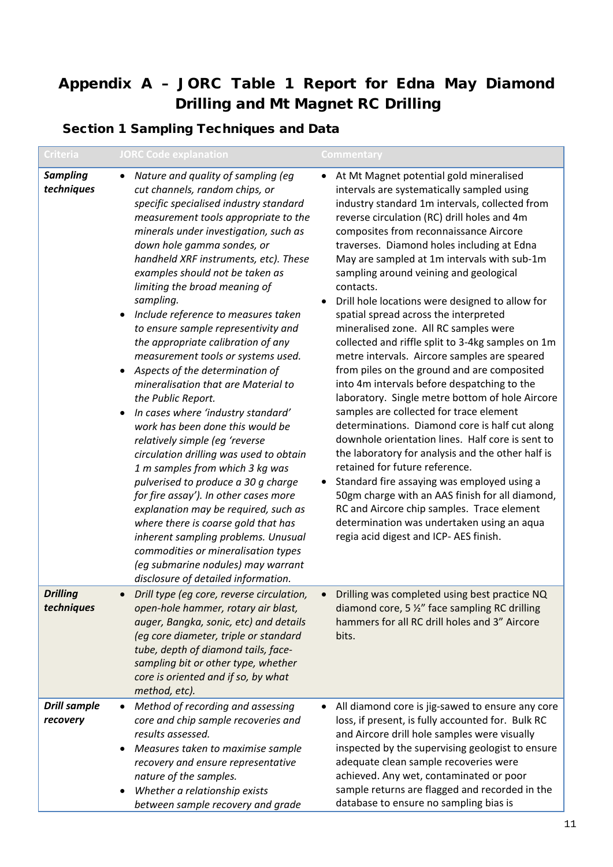# Appendix A – JORC Table 1 Report for Edna May Diamond Drilling and Mt Magnet RC Drilling

## Section 1 Sampling Techniques and Data

| <b>Criteria</b>                 | <b>JORC Code explanation</b>                                                                                                                                                                                                                                                                                                                                                                                                                                                                                                                                                                                                                                                                                                                                                                                                                                                                                                                                                                                                                                                                                                                                    | <b>Commentary</b>                                                                                                                                                                                                                                                                                                                                                                                                                                                                                                                                                                                                                                                                                                                                                                                                                                                                                                                                                                                                                                                                                                                                                                                                                                                            |
|---------------------------------|-----------------------------------------------------------------------------------------------------------------------------------------------------------------------------------------------------------------------------------------------------------------------------------------------------------------------------------------------------------------------------------------------------------------------------------------------------------------------------------------------------------------------------------------------------------------------------------------------------------------------------------------------------------------------------------------------------------------------------------------------------------------------------------------------------------------------------------------------------------------------------------------------------------------------------------------------------------------------------------------------------------------------------------------------------------------------------------------------------------------------------------------------------------------|------------------------------------------------------------------------------------------------------------------------------------------------------------------------------------------------------------------------------------------------------------------------------------------------------------------------------------------------------------------------------------------------------------------------------------------------------------------------------------------------------------------------------------------------------------------------------------------------------------------------------------------------------------------------------------------------------------------------------------------------------------------------------------------------------------------------------------------------------------------------------------------------------------------------------------------------------------------------------------------------------------------------------------------------------------------------------------------------------------------------------------------------------------------------------------------------------------------------------------------------------------------------------|
| <b>Sampling</b><br>techniques   | Nature and quality of sampling (eg<br>$\bullet$<br>cut channels, random chips, or<br>specific specialised industry standard<br>measurement tools appropriate to the<br>minerals under investigation, such as<br>down hole gamma sondes, or<br>handheld XRF instruments, etc). These<br>examples should not be taken as<br>limiting the broad meaning of<br>sampling.<br>Include reference to measures taken<br>$\bullet$<br>to ensure sample representivity and<br>the appropriate calibration of any<br>measurement tools or systems used.<br>Aspects of the determination of<br>mineralisation that are Material to<br>the Public Report.<br>In cases where 'industry standard'<br>work has been done this would be<br>relatively simple (eg 'reverse<br>circulation drilling was used to obtain<br>1 m samples from which 3 kg was<br>pulverised to produce a 30 g charge<br>for fire assay'). In other cases more<br>explanation may be required, such as<br>where there is coarse gold that has<br>inherent sampling problems. Unusual<br>commodities or mineralisation types<br>(eg submarine nodules) may warrant<br>disclosure of detailed information. | At Mt Magnet potential gold mineralised<br>intervals are systematically sampled using<br>industry standard 1m intervals, collected from<br>reverse circulation (RC) drill holes and 4m<br>composites from reconnaissance Aircore<br>traverses. Diamond holes including at Edna<br>May are sampled at 1m intervals with sub-1m<br>sampling around veining and geological<br>contacts.<br>Drill hole locations were designed to allow for<br>$\bullet$<br>spatial spread across the interpreted<br>mineralised zone. All RC samples were<br>collected and riffle split to 3-4kg samples on 1m<br>metre intervals. Aircore samples are speared<br>from piles on the ground and are composited<br>into 4m intervals before despatching to the<br>laboratory. Single metre bottom of hole Aircore<br>samples are collected for trace element<br>determinations. Diamond core is half cut along<br>downhole orientation lines. Half core is sent to<br>the laboratory for analysis and the other half is<br>retained for future reference.<br>Standard fire assaying was employed using a<br>50gm charge with an AAS finish for all diamond,<br>RC and Aircore chip samples. Trace element<br>determination was undertaken using an aqua<br>regia acid digest and ICP- AES finish. |
| <b>Drilling</b><br>techniques   | Drill type (eg core, reverse circulation,<br>open-hole hammer, rotary air blast,<br>auger, Bangka, sonic, etc) and details<br>(eq core diameter, triple or standard<br>tube, depth of diamond tails, face-<br>sampling bit or other type, whether<br>core is oriented and if so, by what<br>method, etc).                                                                                                                                                                                                                                                                                                                                                                                                                                                                                                                                                                                                                                                                                                                                                                                                                                                       | Drilling was completed using best practice NQ<br>$\bullet$<br>diamond core, 5 %" face sampling RC drilling<br>hammers for all RC drill holes and 3" Aircore<br>bits.                                                                                                                                                                                                                                                                                                                                                                                                                                                                                                                                                                                                                                                                                                                                                                                                                                                                                                                                                                                                                                                                                                         |
| <b>Drill sample</b><br>recovery | Method of recording and assessing<br>$\bullet$<br>core and chip sample recoveries and<br>results assessed.<br>Measures taken to maximise sample<br>recovery and ensure representative<br>nature of the samples.<br>Whether a relationship exists<br>between sample recovery and grade                                                                                                                                                                                                                                                                                                                                                                                                                                                                                                                                                                                                                                                                                                                                                                                                                                                                           | All diamond core is jig-sawed to ensure any core<br>$\bullet$<br>loss, if present, is fully accounted for. Bulk RC<br>and Aircore drill hole samples were visually<br>inspected by the supervising geologist to ensure<br>adequate clean sample recoveries were<br>achieved. Any wet, contaminated or poor<br>sample returns are flagged and recorded in the<br>database to ensure no sampling bias is                                                                                                                                                                                                                                                                                                                                                                                                                                                                                                                                                                                                                                                                                                                                                                                                                                                                       |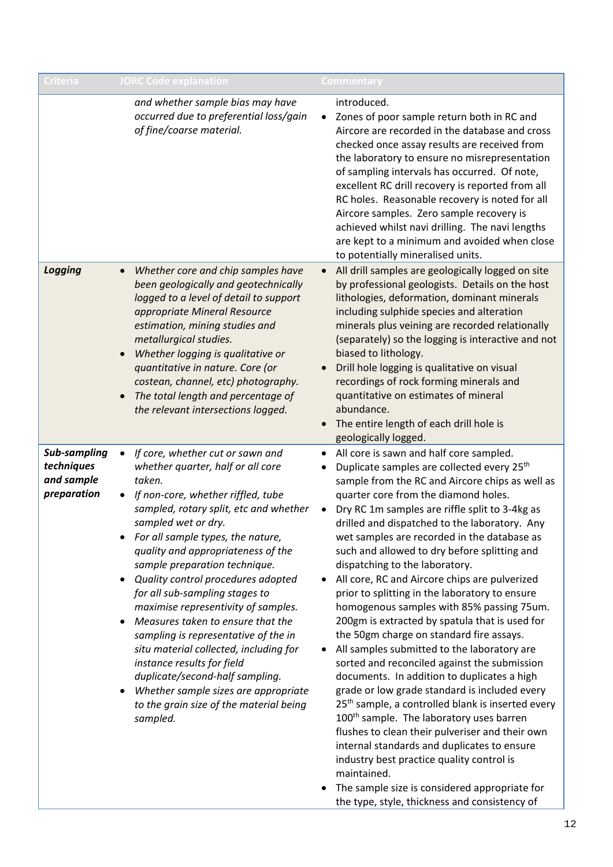| <b>Criteria</b>                                                | <b>JORC Code explanation</b>                                                                                                                                                                                                                                                                                                                                                                                                                                                                                                                                                                                                                                                                                          | Commentary                                                                                                                                                                                                                                                                                                                                                                                                                                                                                                                                                                                                                                                                                                                                                                                                                                                                                                                                                                                                                                                                                                                                                                                                                                                                                                              |
|----------------------------------------------------------------|-----------------------------------------------------------------------------------------------------------------------------------------------------------------------------------------------------------------------------------------------------------------------------------------------------------------------------------------------------------------------------------------------------------------------------------------------------------------------------------------------------------------------------------------------------------------------------------------------------------------------------------------------------------------------------------------------------------------------|-------------------------------------------------------------------------------------------------------------------------------------------------------------------------------------------------------------------------------------------------------------------------------------------------------------------------------------------------------------------------------------------------------------------------------------------------------------------------------------------------------------------------------------------------------------------------------------------------------------------------------------------------------------------------------------------------------------------------------------------------------------------------------------------------------------------------------------------------------------------------------------------------------------------------------------------------------------------------------------------------------------------------------------------------------------------------------------------------------------------------------------------------------------------------------------------------------------------------------------------------------------------------------------------------------------------------|
|                                                                | and whether sample bias may have<br>occurred due to preferential loss/gain<br>of fine/coarse material.                                                                                                                                                                                                                                                                                                                                                                                                                                                                                                                                                                                                                | introduced.<br>Zones of poor sample return both in RC and<br>$\bullet$<br>Aircore are recorded in the database and cross<br>checked once assay results are received from<br>the laboratory to ensure no misrepresentation<br>of sampling intervals has occurred. Of note,<br>excellent RC drill recovery is reported from all<br>RC holes. Reasonable recovery is noted for all<br>Aircore samples. Zero sample recovery is<br>achieved whilst navi drilling. The navi lengths<br>are kept to a minimum and avoided when close<br>to potentially mineralised units.                                                                                                                                                                                                                                                                                                                                                                                                                                                                                                                                                                                                                                                                                                                                                     |
| <b>Logging</b>                                                 | Whether core and chip samples have<br>$\bullet$<br>been geologically and geotechnically<br>logged to a level of detail to support<br>appropriate Mineral Resource<br>estimation, mining studies and<br>metallurgical studies.<br>Whether logging is qualitative or<br>quantitative in nature. Core (or<br>costean, channel, etc) photography.<br>The total length and percentage of<br>the relevant intersections logged.                                                                                                                                                                                                                                                                                             | All drill samples are geologically logged on site<br>$\bullet$<br>by professional geologists. Details on the host<br>lithologies, deformation, dominant minerals<br>including sulphide species and alteration<br>minerals plus veining are recorded relationally<br>(separately) so the logging is interactive and not<br>biased to lithology.<br>Drill hole logging is qualitative on visual<br>$\bullet$<br>recordings of rock forming minerals and<br>quantitative on estimates of mineral<br>abundance.<br>The entire length of each drill hole is<br>$\bullet$<br>geologically logged.                                                                                                                                                                                                                                                                                                                                                                                                                                                                                                                                                                                                                                                                                                                             |
| <b>Sub-sampling</b><br>techniques<br>and sample<br>preparation | If core, whether cut or sawn and<br>$\bullet$<br>whether quarter, half or all core<br>taken.<br>If non-core, whether riffled, tube<br>sampled, rotary split, etc and whether<br>sampled wet or dry.<br>For all sample types, the nature,<br>quality and appropriateness of the<br>sample preparation technique.<br>Quality control procedures adopted<br>for all sub-sampling stages to<br>maximise representivity of samples.<br>Measures taken to ensure that the<br>sampling is representative of the in<br>situ material collected, including for<br>instance results for field<br>duplicate/second-half sampling.<br>Whether sample sizes are appropriate<br>to the grain size of the material being<br>sampled. | All core is sawn and half core sampled.<br>$\bullet$<br>Duplicate samples are collected every 25 <sup>th</sup><br>٠<br>sample from the RC and Aircore chips as well as<br>quarter core from the diamond holes.<br>Dry RC 1m samples are riffle split to 3-4kg as<br>$\bullet$<br>drilled and dispatched to the laboratory. Any<br>wet samples are recorded in the database as<br>such and allowed to dry before splitting and<br>dispatching to the laboratory.<br>All core, RC and Aircore chips are pulverized<br>$\bullet$<br>prior to splitting in the laboratory to ensure<br>homogenous samples with 85% passing 75um.<br>200gm is extracted by spatula that is used for<br>the 50gm charge on standard fire assays.<br>All samples submitted to the laboratory are<br>sorted and reconciled against the submission<br>documents. In addition to duplicates a high<br>grade or low grade standard is included every<br>25 <sup>th</sup> sample, a controlled blank is inserted every<br>100 <sup>th</sup> sample. The laboratory uses barren<br>flushes to clean their pulveriser and their own<br>internal standards and duplicates to ensure<br>industry best practice quality control is<br>maintained.<br>The sample size is considered appropriate for<br>٠<br>the type, style, thickness and consistency of |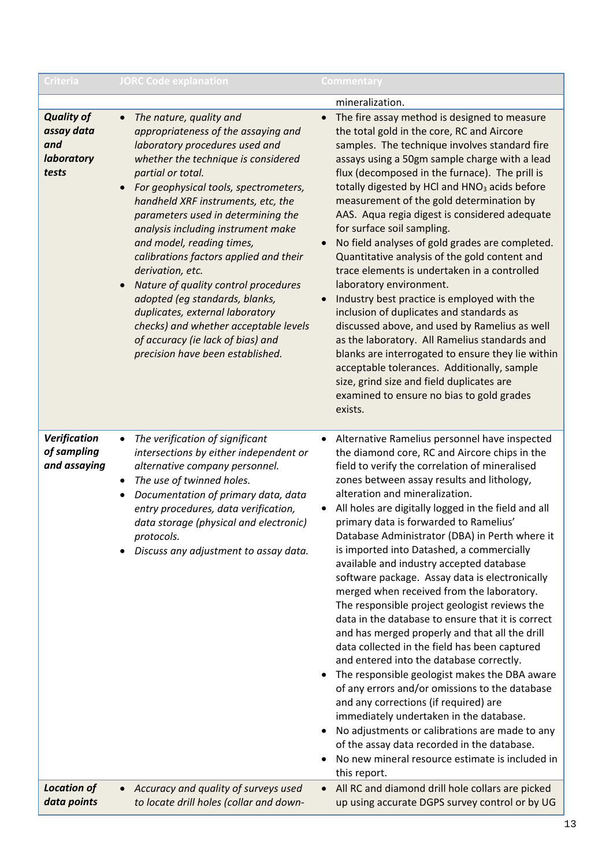| <b>Criteria</b>                                               | <b>JORC Code explanation</b>                                                                                                                                                                                                                                                                                                                                                                                                                                                                                                                                                                                                                                                | Commentary                                                                                                                                                                                                                                                                                                                                                                                                                                                                                                                                                                                                                                                                                                                                                                                                                                                                                                                                                                                                                                                                 |
|---------------------------------------------------------------|-----------------------------------------------------------------------------------------------------------------------------------------------------------------------------------------------------------------------------------------------------------------------------------------------------------------------------------------------------------------------------------------------------------------------------------------------------------------------------------------------------------------------------------------------------------------------------------------------------------------------------------------------------------------------------|----------------------------------------------------------------------------------------------------------------------------------------------------------------------------------------------------------------------------------------------------------------------------------------------------------------------------------------------------------------------------------------------------------------------------------------------------------------------------------------------------------------------------------------------------------------------------------------------------------------------------------------------------------------------------------------------------------------------------------------------------------------------------------------------------------------------------------------------------------------------------------------------------------------------------------------------------------------------------------------------------------------------------------------------------------------------------|
| <b>Quality of</b><br>assay data<br>and<br>laboratory<br>tests | The nature, quality and<br>$\bullet$<br>appropriateness of the assaying and<br>laboratory procedures used and<br>whether the technique is considered<br>partial or total.<br>For geophysical tools, spectrometers,<br>$\bullet$<br>handheld XRF instruments, etc, the<br>parameters used in determining the<br>analysis including instrument make<br>and model, reading times,<br>calibrations factors applied and their<br>derivation, etc.<br>Nature of quality control procedures<br>adopted (eg standards, blanks,<br>duplicates, external laboratory<br>checks) and whether acceptable levels<br>of accuracy (ie lack of bias) and<br>precision have been established. | mineralization.<br>The fire assay method is designed to measure<br>$\bullet$<br>the total gold in the core, RC and Aircore<br>samples. The technique involves standard fire<br>assays using a 50gm sample charge with a lead<br>flux (decomposed in the furnace). The prill is<br>totally digested by HCl and HNO <sub>3</sub> acids before<br>measurement of the gold determination by<br>AAS. Aqua regia digest is considered adequate<br>for surface soil sampling.<br>No field analyses of gold grades are completed.<br>$\bullet$<br>Quantitative analysis of the gold content and<br>trace elements is undertaken in a controlled<br>laboratory environment.<br>Industry best practice is employed with the<br>$\bullet$<br>inclusion of duplicates and standards as<br>discussed above, and used by Ramelius as well<br>as the laboratory. All Ramelius standards and<br>blanks are interrogated to ensure they lie within<br>acceptable tolerances. Additionally, sample<br>size, grind size and field duplicates are<br>examined to ensure no bias to gold grades |
| Verification<br>of sampling<br>and assaying                   | The verification of significant<br>intersections by either independent or<br>alternative company personnel.<br>The use of twinned holes.<br>٠<br>Documentation of primary data, data<br>entry procedures, data verification,<br>data storage (physical and electronic)<br>protocols.<br>Discuss any adjustment to assay data.                                                                                                                                                                                                                                                                                                                                               | exists.<br>Alternative Ramelius personnel have inspected<br>$\bullet$<br>the diamond core, RC and Aircore chips in the<br>field to verify the correlation of mineralised<br>zones between assay results and lithology,<br>alteration and mineralization.<br>All holes are digitally logged in the field and all<br>primary data is forwarded to Ramelius'<br>Database Administrator (DBA) in Perth where it<br>is imported into Datashed, a commercially<br>available and industry accepted database<br>software package. Assay data is electronically<br>merged when received from the laboratory.<br>The responsible project geologist reviews the<br>data in the database to ensure that it is correct<br>and has merged properly and that all the drill<br>data collected in the field has been captured<br>and entered into the database correctly.<br>The responsible geologist makes the DBA aware<br>$\bullet$                                                                                                                                                     |
| <b>Location of</b><br>data points                             | Accuracy and quality of surveys used<br>to locate drill holes (collar and down-                                                                                                                                                                                                                                                                                                                                                                                                                                                                                                                                                                                             | of any errors and/or omissions to the database<br>and any corrections (if required) are<br>immediately undertaken in the database.<br>No adjustments or calibrations are made to any<br>$\bullet$<br>of the assay data recorded in the database.<br>No new mineral resource estimate is included in<br>this report.<br>All RC and diamond drill hole collars are picked<br>$\bullet$<br>up using accurate DGPS survey control or by UG                                                                                                                                                                                                                                                                                                                                                                                                                                                                                                                                                                                                                                     |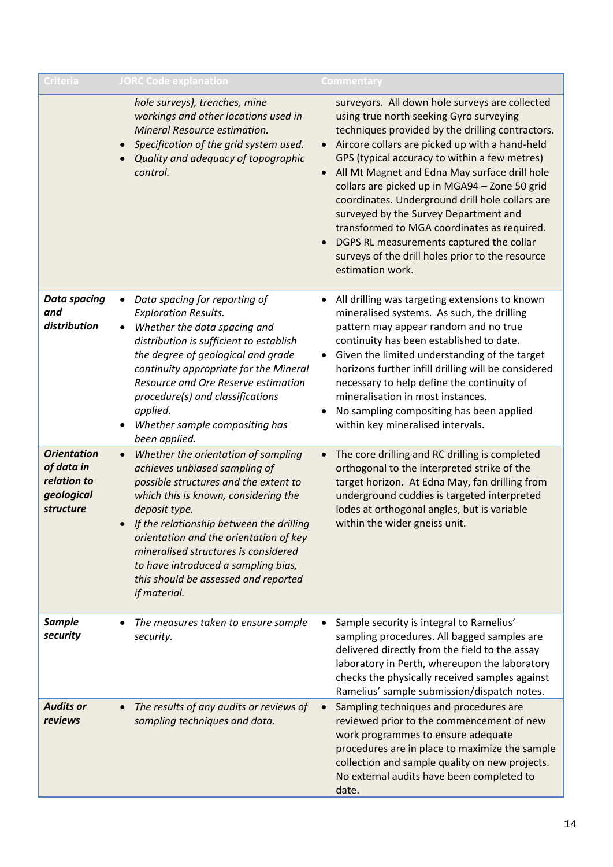| Criteria                                                                   | <b>JORC Code explanation</b>                                                                                                                                                                                                                                                                                                                                                                                     | Commentary                                                                                                                                                                                                                                                                                                                                                                                                                                                                                                                                                                                                                                               |
|----------------------------------------------------------------------------|------------------------------------------------------------------------------------------------------------------------------------------------------------------------------------------------------------------------------------------------------------------------------------------------------------------------------------------------------------------------------------------------------------------|----------------------------------------------------------------------------------------------------------------------------------------------------------------------------------------------------------------------------------------------------------------------------------------------------------------------------------------------------------------------------------------------------------------------------------------------------------------------------------------------------------------------------------------------------------------------------------------------------------------------------------------------------------|
|                                                                            | hole surveys), trenches, mine<br>workings and other locations used in<br>Mineral Resource estimation.<br>Specification of the grid system used.<br>$\bullet$<br>Quality and adequacy of topographic<br>control.                                                                                                                                                                                                  | surveyors. All down hole surveys are collected<br>using true north seeking Gyro surveying<br>techniques provided by the drilling contractors.<br>Aircore collars are picked up with a hand-held<br>$\bullet$<br>GPS (typical accuracy to within a few metres)<br>All Mt Magnet and Edna May surface drill hole<br>$\bullet$<br>collars are picked up in MGA94 - Zone 50 grid<br>coordinates. Underground drill hole collars are<br>surveyed by the Survey Department and<br>transformed to MGA coordinates as required.<br>DGPS RL measurements captured the collar<br>$\bullet$<br>surveys of the drill holes prior to the resource<br>estimation work. |
| <b>Data spacing</b><br>and<br>distribution                                 | Data spacing for reporting of<br>$\bullet$<br><b>Exploration Results.</b><br>Whether the data spacing and<br>distribution is sufficient to establish<br>the degree of geological and grade<br>continuity appropriate for the Mineral<br>Resource and Ore Reserve estimation<br>procedure(s) and classifications<br>applied.<br>Whether sample compositing has<br>been applied.                                   | All drilling was targeting extensions to known<br>٠<br>mineralised systems. As such, the drilling<br>pattern may appear random and no true<br>continuity has been established to date.<br>Given the limited understanding of the target<br>$\bullet$<br>horizons further infill drilling will be considered<br>necessary to help define the continuity of<br>mineralisation in most instances.<br>No sampling compositing has been applied<br>within key mineralised intervals.                                                                                                                                                                          |
| <b>Orientation</b><br>of data in<br>relation to<br>geological<br>structure | Whether the orientation of sampling<br>$\bullet$<br>achieves unbiased sampling of<br>possible structures and the extent to<br>which this is known, considering the<br>deposit type.<br>If the relationship between the drilling<br>orientation and the orientation of key<br>mineralised structures is considered<br>to have introduced a sampling bias,<br>this should be assessed and reported<br>if material. | The core drilling and RC drilling is completed<br>orthogonal to the interpreted strike of the<br>target horizon. At Edna May, fan drilling from<br>underground cuddies is targeted interpreted<br>lodes at orthogonal angles, but is variable<br>within the wider gneiss unit.                                                                                                                                                                                                                                                                                                                                                                           |
| <b>Sample</b><br>security                                                  | The measures taken to ensure sample<br>security.                                                                                                                                                                                                                                                                                                                                                                 | Sample security is integral to Ramelius'<br>sampling procedures. All bagged samples are<br>delivered directly from the field to the assay<br>laboratory in Perth, whereupon the laboratory<br>checks the physically received samples against<br>Ramelius' sample submission/dispatch notes.                                                                                                                                                                                                                                                                                                                                                              |
| <b>Audits or</b><br>reviews                                                | The results of any audits or reviews of<br>sampling techniques and data.                                                                                                                                                                                                                                                                                                                                         | Sampling techniques and procedures are<br>reviewed prior to the commencement of new<br>work programmes to ensure adequate<br>procedures are in place to maximize the sample<br>collection and sample quality on new projects.<br>No external audits have been completed to<br>date.                                                                                                                                                                                                                                                                                                                                                                      |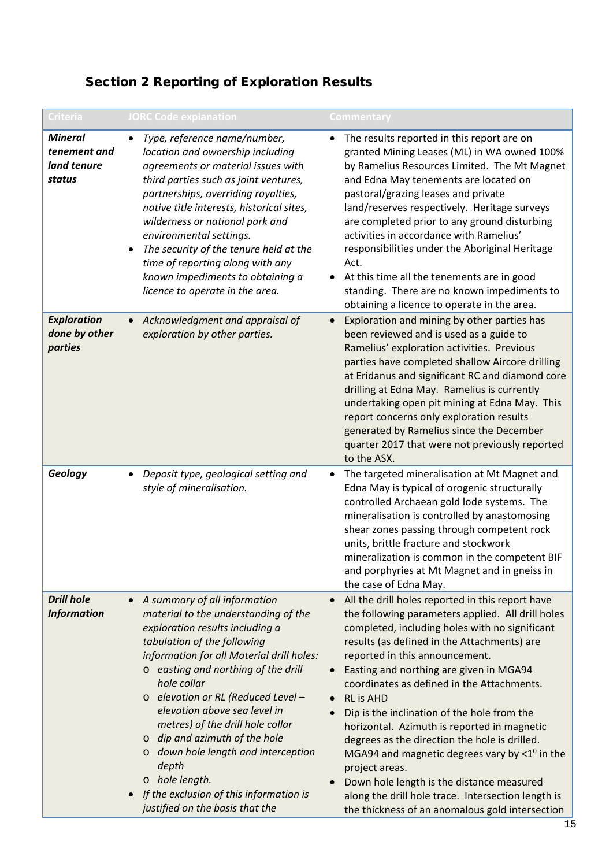# Section 2 Reporting of Exploration Results

| <b>Criteria</b>                                         | <b>JORC Code explanation</b>                                                                                                                                                                                                                                                                                                                                                                                                                                                                                                                         | Commentary                                                                                                                                                                                                                                                                                                                                                                                                                                                                                                                                                                                                                                                                                                                            |
|---------------------------------------------------------|------------------------------------------------------------------------------------------------------------------------------------------------------------------------------------------------------------------------------------------------------------------------------------------------------------------------------------------------------------------------------------------------------------------------------------------------------------------------------------------------------------------------------------------------------|---------------------------------------------------------------------------------------------------------------------------------------------------------------------------------------------------------------------------------------------------------------------------------------------------------------------------------------------------------------------------------------------------------------------------------------------------------------------------------------------------------------------------------------------------------------------------------------------------------------------------------------------------------------------------------------------------------------------------------------|
| <b>Mineral</b><br>tenement and<br>land tenure<br>status | Type, reference name/number,<br>$\bullet$<br>location and ownership including<br>agreements or material issues with<br>third parties such as joint ventures,<br>partnerships, overriding royalties,<br>native title interests, historical sites,<br>wilderness or national park and<br>environmental settings.<br>The security of the tenure held at the<br>$\bullet$<br>time of reporting along with any<br>known impediments to obtaining a<br>licence to operate in the area.                                                                     | The results reported in this report are on<br>granted Mining Leases (ML) in WA owned 100%<br>by Ramelius Resources Limited. The Mt Magnet<br>and Edna May tenements are located on<br>pastoral/grazing leases and private<br>land/reserves respectively. Heritage surveys<br>are completed prior to any ground disturbing<br>activities in accordance with Ramelius'<br>responsibilities under the Aboriginal Heritage<br>Act.<br>At this time all the tenements are in good<br>standing. There are no known impediments to<br>obtaining a licence to operate in the area.                                                                                                                                                            |
| <b>Exploration</b><br>done by other<br>parties          | Acknowledgment and appraisal of<br>$\bullet$<br>exploration by other parties.                                                                                                                                                                                                                                                                                                                                                                                                                                                                        | Exploration and mining by other parties has<br>been reviewed and is used as a guide to<br>Ramelius' exploration activities. Previous<br>parties have completed shallow Aircore drilling<br>at Eridanus and significant RC and diamond core<br>drilling at Edna May. Ramelius is currently<br>undertaking open pit mining at Edna May. This<br>report concerns only exploration results<br>generated by Ramelius since the December<br>quarter 2017 that were not previously reported<br>to the ASX.                                                                                                                                                                                                                                   |
| Geology                                                 | Deposit type, geological setting and<br>$\bullet$<br>style of mineralisation.                                                                                                                                                                                                                                                                                                                                                                                                                                                                        | The targeted mineralisation at Mt Magnet and<br>Edna May is typical of orogenic structurally<br>controlled Archaean gold lode systems. The<br>mineralisation is controlled by anastomosing<br>shear zones passing through competent rock<br>units, brittle fracture and stockwork<br>mineralization is common in the competent BIF<br>and porphyries at Mt Magnet and in gneiss in<br>the case of Edna May.                                                                                                                                                                                                                                                                                                                           |
| <b>Drill hole</b><br><b>Information</b>                 | A summary of all information<br>material to the understanding of the<br>exploration results including a<br>tabulation of the following<br>information for all Material drill holes:<br>o easting and northing of the drill<br>hole collar<br>o elevation or RL (Reduced Level -<br>elevation above sea level in<br>metres) of the drill hole collar<br>dip and azimuth of the hole<br>O<br>o down hole length and interception<br>depth<br>o hole length.<br>If the exclusion of this information is<br>$\bullet$<br>justified on the basis that the | All the drill holes reported in this report have<br>the following parameters applied. All drill holes<br>completed, including holes with no significant<br>results (as defined in the Attachments) are<br>reported in this announcement.<br>Easting and northing are given in MGA94<br>coordinates as defined in the Attachments.<br><b>RL</b> is AHD<br>Dip is the inclination of the hole from the<br>horizontal. Azimuth is reported in magnetic<br>degrees as the direction the hole is drilled.<br>MGA94 and magnetic degrees vary by $< 1^\circ$ in the<br>project areas.<br>Down hole length is the distance measured<br>along the drill hole trace. Intersection length is<br>the thickness of an anomalous gold intersection |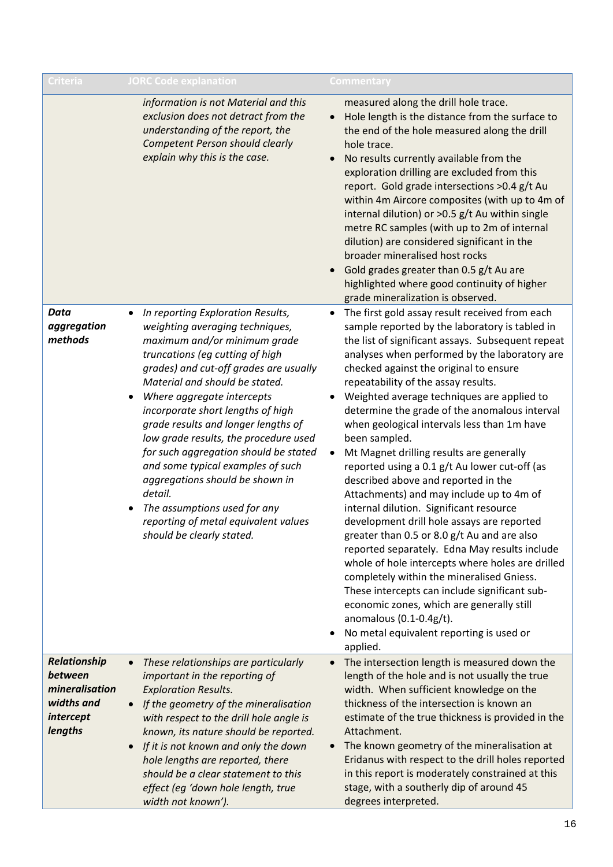| Criteria                                                                        | <b>JORC Code explanation</b>                                                                                                                                                                                                                                                                                                                                                                                                                                                                                                                                                                                                           | Commentary                                                                                                                                                                                                                                                                                                                                                                                                                                                                                                                                                                                                                                                                                                                                                                                                                                                                                                                                                                                                                                                                                                                        |
|---------------------------------------------------------------------------------|----------------------------------------------------------------------------------------------------------------------------------------------------------------------------------------------------------------------------------------------------------------------------------------------------------------------------------------------------------------------------------------------------------------------------------------------------------------------------------------------------------------------------------------------------------------------------------------------------------------------------------------|-----------------------------------------------------------------------------------------------------------------------------------------------------------------------------------------------------------------------------------------------------------------------------------------------------------------------------------------------------------------------------------------------------------------------------------------------------------------------------------------------------------------------------------------------------------------------------------------------------------------------------------------------------------------------------------------------------------------------------------------------------------------------------------------------------------------------------------------------------------------------------------------------------------------------------------------------------------------------------------------------------------------------------------------------------------------------------------------------------------------------------------|
|                                                                                 | information is not Material and this<br>exclusion does not detract from the<br>understanding of the report, the<br>Competent Person should clearly<br>explain why this is the case.                                                                                                                                                                                                                                                                                                                                                                                                                                                    | measured along the drill hole trace.<br>Hole length is the distance from the surface to<br>the end of the hole measured along the drill<br>hole trace.<br>No results currently available from the<br>exploration drilling are excluded from this<br>report. Gold grade intersections >0.4 g/t Au<br>within 4m Aircore composites (with up to 4m of<br>internal dilution) or >0.5 g/t Au within single<br>metre RC samples (with up to 2m of internal<br>dilution) are considered significant in the<br>broader mineralised host rocks<br>Gold grades greater than 0.5 g/t Au are<br>highlighted where good continuity of higher<br>grade mineralization is observed.                                                                                                                                                                                                                                                                                                                                                                                                                                                              |
| <b>Data</b><br>aggregation<br>methods                                           | In reporting Exploration Results,<br>$\bullet$<br>weighting averaging techniques,<br>maximum and/or minimum grade<br>truncations (eg cutting of high<br>grades) and cut-off grades are usually<br>Material and should be stated.<br>Where aggregate intercepts<br>٠<br>incorporate short lengths of high<br>grade results and longer lengths of<br>low grade results, the procedure used<br>for such aggregation should be stated<br>and some typical examples of such<br>aggregations should be shown in<br>detail.<br>The assumptions used for any<br>$\bullet$<br>reporting of metal equivalent values<br>should be clearly stated. | The first gold assay result received from each<br>$\bullet$<br>sample reported by the laboratory is tabled in<br>the list of significant assays. Subsequent repeat<br>analyses when performed by the laboratory are<br>checked against the original to ensure<br>repeatability of the assay results.<br>Weighted average techniques are applied to<br>determine the grade of the anomalous interval<br>when geological intervals less than 1m have<br>been sampled.<br>Mt Magnet drilling results are generally<br>reported using a 0.1 g/t Au lower cut-off (as<br>described above and reported in the<br>Attachments) and may include up to 4m of<br>internal dilution. Significant resource<br>development drill hole assays are reported<br>greater than 0.5 or 8.0 g/t Au and are also<br>reported separately. Edna May results include<br>whole of hole intercepts where holes are drilled<br>completely within the mineralised Gniess.<br>These intercepts can include significant sub-<br>economic zones, which are generally still<br>anomalous $(0.1-0.4g/t)$ .<br>No metal equivalent reporting is used or<br>applied. |
| Relationship<br>between<br>mineralisation<br>widths and<br>intercept<br>lengths | These relationships are particularly<br>$\bullet$<br>important in the reporting of<br><b>Exploration Results.</b><br>If the geometry of the mineralisation<br>$\bullet$<br>with respect to the drill hole angle is<br>known, its nature should be reported.<br>If it is not known and only the down<br>$\bullet$<br>hole lengths are reported, there<br>should be a clear statement to this<br>effect (eg 'down hole length, true<br>width not known').                                                                                                                                                                                | The intersection length is measured down the<br>length of the hole and is not usually the true<br>width. When sufficient knowledge on the<br>thickness of the intersection is known an<br>estimate of the true thickness is provided in the<br>Attachment.<br>The known geometry of the mineralisation at<br>$\bullet$<br>Eridanus with respect to the drill holes reported<br>in this report is moderately constrained at this<br>stage, with a southerly dip of around 45<br>degrees interpreted.                                                                                                                                                                                                                                                                                                                                                                                                                                                                                                                                                                                                                               |